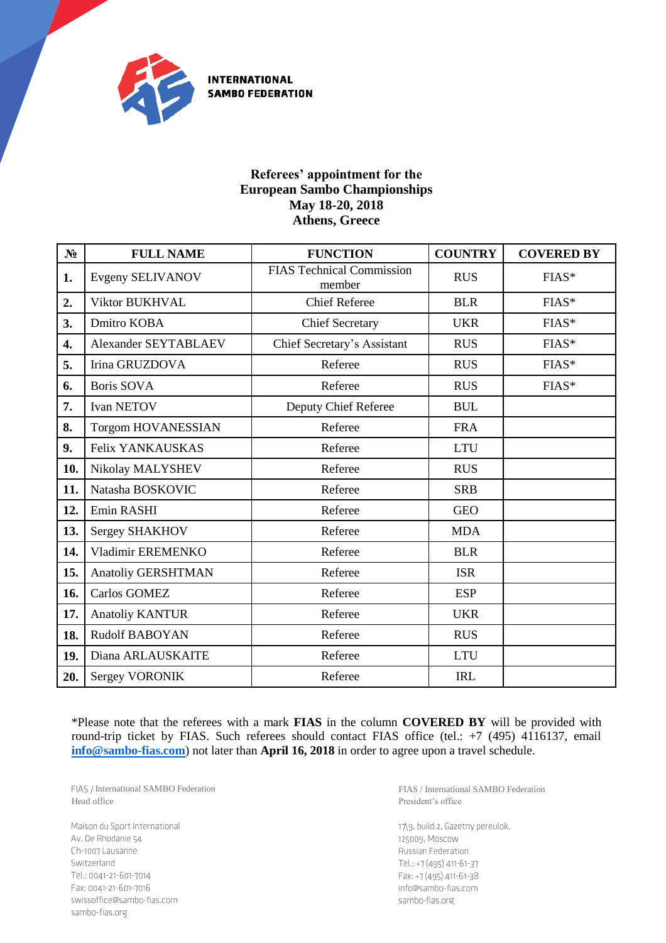

**INTERNATIONAL SAMBO FEDERATION** 

## **Referees' appointment for the European Sambo Championships May 18-20, 2018 Athens, Greece**

| N <sub>2</sub> | <b>FULL NAME</b>          | <b>FUNCTION</b>                            | <b>COUNTRY</b> | <b>COVERED BY</b> |
|----------------|---------------------------|--------------------------------------------|----------------|-------------------|
| 1.             | <b>Evgeny SELIVANOV</b>   | <b>FIAS Technical Commission</b><br>member | <b>RUS</b>     | $FIAS*$           |
| 2.             | <b>Viktor BUKHVAL</b>     | <b>Chief Referee</b>                       | <b>BLR</b>     | FIAS*             |
| 3.             | Dmitro KOBA               | <b>Chief Secretary</b>                     | <b>UKR</b>     | FIAS*             |
| 4.             | Alexander SEYTABLAEV      | Chief Secretary's Assistant                | <b>RUS</b>     | FIAS*             |
| 5.             | Irina GRUZDOVA            | Referee                                    | <b>RUS</b>     | FIAS*             |
| 6.             | Boris SOVA                | Referee                                    | <b>RUS</b>     | FIAS*             |
| 7.             | <b>Ivan NETOV</b>         | Deputy Chief Referee                       | <b>BUL</b>     |                   |
| 8.             | <b>Torgom HOVANESSIAN</b> | Referee                                    | <b>FRA</b>     |                   |
| 9.             | Felix YANKAUSKAS          | Referee                                    | <b>LTU</b>     |                   |
| 10.            | Nikolay MALYSHEV          | Referee                                    | <b>RUS</b>     |                   |
| 11.            | Natasha BOSKOVIC          | Referee                                    | <b>SRB</b>     |                   |
| 12.            | Emin RASHI                | Referee                                    | <b>GEO</b>     |                   |
| 13.            | Sergey SHAKHOV            | Referee                                    | <b>MDA</b>     |                   |
| 14.            | Vladimir EREMENKO         | Referee                                    | <b>BLR</b>     |                   |
| 15.            | Anatoliy GERSHTMAN        | Referee                                    | <b>ISR</b>     |                   |
| 16.            | Carlos GOMEZ              | Referee                                    | <b>ESP</b>     |                   |
| 17.            | <b>Anatoliy KANTUR</b>    | Referee                                    | <b>UKR</b>     |                   |
| 18.            | <b>Rudolf BABOYAN</b>     | Referee                                    | <b>RUS</b>     |                   |
| 19.            | Diana ARLAUSKAITE         | Referee                                    | <b>LTU</b>     |                   |
| 20.            | <b>Sergey VORONIK</b>     | Referee                                    | <b>IRL</b>     |                   |

\*Please note that the referees with a mark **FIAS** in the column **COVERED BY** will be provided with round-trip ticket by FIAS. Such referees should contact FIAS office (tel.: +7 (495) 4116137, email **[info@sambo-fias.com](mailto:info@sambo-fias.com)**) not later than **April 16, 2018** in order to agree upon a travel schedule.

FIAS / International SAMBO Federation Head office

Maison du Sport International Av. De Rhodanie 54 Ch-1007 Lausanne Switzerland Tel.: 0041-21-601-7014 Fax: 0041-21-601-7016 swissoffice@sambo-fias.com sambo-fias.org

FIAS / International SAMBO Federation President's office

17\9, build.2, Gazetny pereulok, 125009, Moscow Russian Federation Tel.: +7 (495) 411-61-37 Fax: +7 (495) 411-61-38 info@sambo-fias.com sambo-fias.org